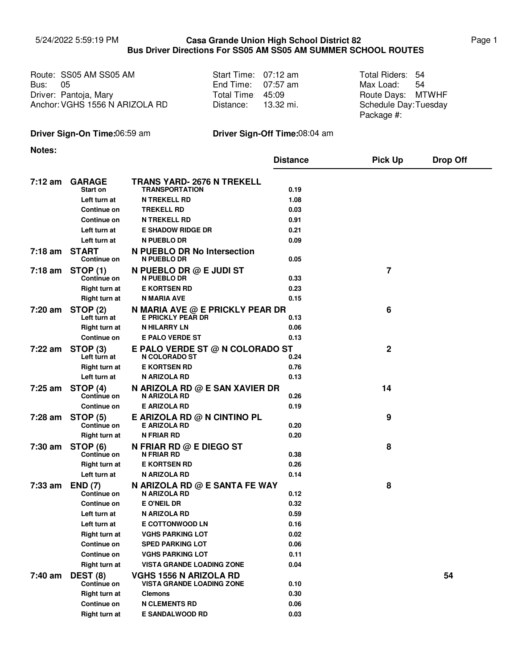## 5/24/2022 5:59:19 PM Page 1 **Casa Grande Union High School District 82 Bus Driver Directions For SS05 AM SS05 AM SUMMER SCHOOL ROUTES**

|                | Route: SS05 AM SS05 AM         | Start Time: 07:12 am | Total Riders: 54     |      |
|----------------|--------------------------------|----------------------|----------------------|------|
| <b>Bus: 05</b> |                                | End Time: $07:57$ am | Max Load:            | - 54 |
|                | Driver: Pantoja, Mary          | Total Time 45:09     | Route Days: MTWHF    |      |
|                | Anchor: VGHS 1556 N ARIZOLA RD | Distance: 13.32 mi.  | Schedule Day:Tuesday |      |
|                |                                |                      | Package #:           |      |

## **Driver Sign-On Time:**06:59 am **Driver Sign-Off Time:**08:04 am

**Notes:**

|           |                                    |                                                                   | <b>Distance</b> | <b>Pick Up</b> | <b>Drop Off</b> |
|-----------|------------------------------------|-------------------------------------------------------------------|-----------------|----------------|-----------------|
|           |                                    |                                                                   |                 |                |                 |
| 7:12 am   | <b>GARAGE</b><br><b>Start on</b>   | <b>TRANS YARD- 2676 N TREKELL</b><br><b>TRANSPORTATION</b>        | 0.19            |                |                 |
|           | Left turn at                       | <b>N TREKELL RD</b>                                               | 1.08            |                |                 |
|           | Continue on                        | <b>TREKELL RD</b>                                                 | 0.03            |                |                 |
|           | Continue on                        | <b>N TREKELL RD</b>                                               | 0.91            |                |                 |
|           | Left turn at                       | <b>E SHADOW RIDGE DR</b>                                          | 0.21            |                |                 |
|           | Left turn at                       | <b>N PUEBLO DR</b>                                                | 0.09            |                |                 |
| $7:18$ am | <b>START</b><br><b>Continue on</b> | N PUEBLO DR No Intersection<br>N PUEBLO DR                        | 0.05            |                |                 |
| 7:18 am   | <b>STOP (1)</b><br>Continue on     | N PUEBLO DR @ E JUDI ST<br>N PUEBLO DR                            | 0.33            | 7              |                 |
|           | Right turn at                      | <b>E KORTSEN RD</b>                                               | 0.23            |                |                 |
|           | Right turn at                      | N MARIA AVE                                                       | 0.15            |                |                 |
| 7:20 am   | <b>STOP (2)</b><br>Left turn at    | N MARIA AVE @ E PRICKLY PEAR DR<br>E PRICKLY PEAR DR              | 0.13            | 6              |                 |
|           | Right turn at                      | <b>N HILARRY LN</b>                                               | 0.06            |                |                 |
|           | Continue on                        | <b>E PALO VERDE ST</b>                                            | 0.13            |                |                 |
| 7:22 am   | STOP (3)<br>Left turn at           | E PALO VERDE ST @ N COLORADO ST<br>N COLORADO ST                  | 0.24            | 2              |                 |
|           | Right turn at                      | <b>E KORTSEN RD</b>                                               | 0.76            |                |                 |
|           | Left turn at                       | N ARIZOLA RD                                                      | 0.13            |                |                 |
| $7:25$ am | STOP (4)<br>Continue on            | N ARIZOLA RD @ E SAN XAVIER DR<br>N ARIZOLA RD                    | 0.26            | 14             |                 |
|           | Continue on                        | <b>E ARIZOLA RD</b>                                               | 0.19            |                |                 |
| 7:28 am   | <b>STOP (5)</b><br>Continue on     | E ARIZOLA RD $@$ N CINTINO PL<br><b>E ARIZOLA RD</b>              | 0.20            | 9              |                 |
|           | Right turn at                      | <b>N FRIAR RD</b>                                                 | 0.20            |                |                 |
| 7:30 am   | STOP (6)<br>Continue on            | N FRIAR RD @ E DIEGO ST<br><b>N FRIAR RD</b>                      | 0.38            | 8              |                 |
|           | Right turn at                      | <b>E KORTSEN RD</b>                                               | 0.26            |                |                 |
|           | Left turn at                       | N ARIZOLA RD                                                      | 0.14            |                |                 |
| 7:33 am   | <b>END (7)</b><br>Continue on      | N ARIZOLA RD @ E SANTA FE WAY<br>N ARIZOLA RD                     | 0.12            | 8              |                 |
|           | Continue on                        | E O'NEIL DR                                                       | 0.32            |                |                 |
|           | Left turn at                       | N ARIZOLA RD                                                      | 0.59            |                |                 |
|           | Left turn at                       | <b>E COTTONWOOD LN</b>                                            | 0.16            |                |                 |
|           | <b>Right turn at</b>               | <b>VGHS PARKING LOT</b>                                           | 0.02            |                |                 |
|           | Continue on                        | <b>SPED PARKING LOT</b>                                           | 0.06            |                |                 |
|           | <b>Continue on</b>                 | <b>VGHS PARKING LOT</b>                                           | 0.11            |                |                 |
|           | Right turn at                      | <b>VISTA GRANDE LOADING ZONE</b>                                  | 0.04            |                |                 |
| 7:40 am   | DEST (8)<br>Continue on            | <b>VGHS 1556 N ARIZOLA RD</b><br><b>VISTA GRANDE LOADING ZONE</b> | 0.10            |                | 54              |
|           | <b>Right turn at</b>               | <b>Clemons</b>                                                    | 0.30            |                |                 |
|           | <b>Continue on</b>                 | <b>N CLEMENTS RD</b>                                              | 0.06            |                |                 |
|           | <b>Right turn at</b>               | <b>E SANDALWOOD RD</b>                                            | 0.03            |                |                 |